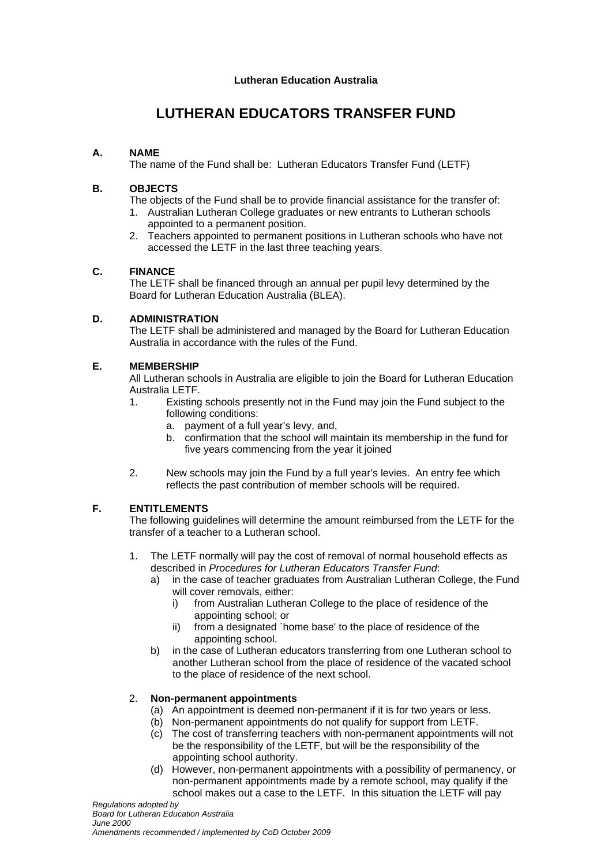# **LUTHERAN EDUCATORS TRANSFER FUND**

# **A. NAME**

The name of the Fund shall be: Lutheran Educators Transfer Fund (LETF)

## **B. OBJECTS**

The objects of the Fund shall be to provide financial assistance for the transfer of:

- 1. Australian Lutheran College graduates or new entrants to Lutheran schools appointed to a permanent position.
- 2. Teachers appointed to permanent positions in Lutheran schools who have not accessed the LETF in the last three teaching years.

## **C. FINANCE**

The LETF shall be financed through an annual per pupil levy determined by the Board for Lutheran Education Australia (BLEA).

## **D. ADMINISTRATION**

The LETF shall be administered and managed by the Board for Lutheran Education Australia in accordance with the rules of the Fund.

## **E. MEMBERSHIP**

All Lutheran schools in Australia are eligible to join the Board for Lutheran Education Australia LETF.

- 1. Existing schools presently not in the Fund may join the Fund subject to the following conditions:
	- a. payment of a full year's levy, and,
	- b. confirmation that the school will maintain its membership in the fund for five years commencing from the year it joined
- 2. New schools may join the Fund by a full year's levies. An entry fee which reflects the past contribution of member schools will be required.

# **F. ENTITLEMENTS**

The following guidelines will determine the amount reimbursed from the LETF for the transfer of a teacher to a Lutheran school.

- 1. The LETF normally will pay the cost of removal of normal household effects as described in *Procedures for Lutheran Educators Transfer Fund*:
	- a) in the case of teacher graduates from Australian Lutheran College, the Fund will cover removals, either:
		- i) from Australian Lutheran College to the place of residence of the appointing school; or
		- ii) from a designated `home base' to the place of residence of the appointing school.
	- b) in the case of Lutheran educators transferring from one Lutheran school to another Lutheran school from the place of residence of the vacated school to the place of residence of the next school.

# 2. **Non-permanent appointments**

- (a) An appointment is deemed non-permanent if it is for two years or less.
- (b) Non-permanent appointments do not qualify for support from LETF.
- (c) The cost of transferring teachers with non-permanent appointments will not be the responsibility of the LETF, but will be the responsibility of the appointing school authority.
- (d) However, non-permanent appointments with a possibility of permanency, or non-permanent appointments made by a remote school, may qualify if the school makes out a case to the LETF. In this situation the LETF will pay